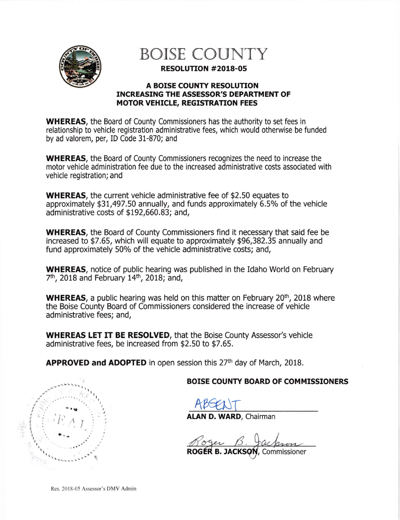

BOISE COUNTY

RESOLUTTON #2018-05

## **A BOISE COUNTY RESOLUTION** INCREASING THE ASSESSOR'S DEPARTMENT OF MOTOR VEHICLE, REGISTRATION FEES

WHEREAS, the Board of County Commissioners has the authority to set fees in relationship to vehicle registration administrative fees, which would otherwise be funded by ad valorem, per, ID Code 31-870; and

WHEREAS, the Board of County Commissioners recognizes the need to increase the motor vehicle administration fee due to the increased administrative costs associated with vehicle registration; and

WHEREAS, the current vehicle administrative fee of \$2.50 equates to approximately \$31,497.50 annually, and funds approximately 6.5% of the vehicle administrative costs of \$192,660.83; and,

WHEREAS, the Board of County Commissioners find it necessary that said fee be increased to \$7.65, which will equate to approximately \$96,382.35 annually and fund approximately 50% of the vehicle administrative costs; and,

wHEREAS, notice of public hearing was published in the Idaho World on February 7<sup>th</sup>, 2018 and February 14<sup>th</sup>, 2018; and,

WHEREAS, a public hearing was held on this matter on February 20<sup>th</sup>, 2018 where the Boise County Board of Commissioners considered the increase of vehicle administrative fees; and,

WHEREAS LET IT BE RESOLVED, that the Boise County Assessor's vehicle administrative fees, be increased from \$2.50 to \$7.65.

**APPROVED and ADOPTED** in open session this  $27<sup>th</sup>$  day of March, 2018.

BOISE COUNTY BOARD OF COMMISSIONERS

ABSENT

ALAN D. WARD, Chairman

Roger B. Jackson

ROGÉR B. JACKSON, Commissioner

I t  $\tilde{\mathcal{E}}$  $FA$ 

Res. 2018-05 Assessor's DMv Admin